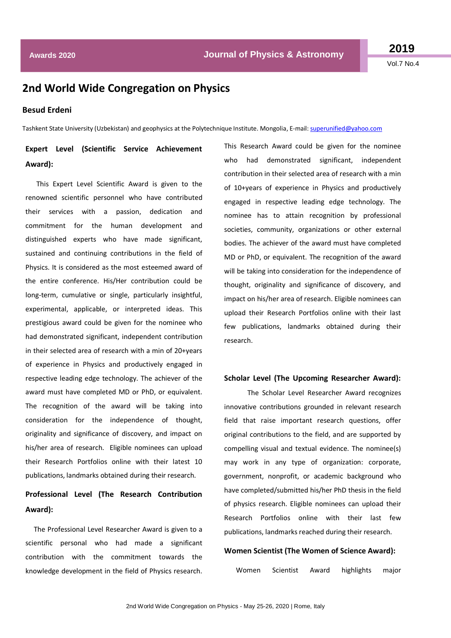**2019** Vol.7 No.4

# **2nd World Wide Congregation on Physics**

### **Besud Erdeni**

Tashkent State University (Uzbekistan) and geophysics at the Polytechnique Institute. Mongolia, E-mail[: superunified@yahoo.com](mailto:superunified@yahoo.com)

## **Expert Level (Scientific Service Achievement Award):**

This Expert Level Scientific Award is given to the renowned scientific personnel who have contributed their services with a passion, dedication and commitment for the human development and distinguished experts who have made significant, sustained and continuing contributions in the field of Physics. It is considered as the most esteemed award of the entire conference. His/Her contribution could be long-term, cumulative or single, particularly insightful, experimental, applicable, or interpreted ideas. This prestigious award could be given for the nominee who had demonstrated significant, independent contribution in their selected area of research with a min of 20+years of experience in Physics and productively engaged in respective leading edge technology. The achiever of the award must have completed MD or PhD, or equivalent. The recognition of the award will be taking into consideration for the independence of thought, originality and significance of discovery, and impact on his/her area of research. Eligible nominees can upload their Research Portfolios online with their latest 10 publications, landmarks obtained during their research.

## **Professional Level (The Research Contribution Award):**

 The Professional Level Researcher Award is given to a scientific personal who had made a significant contribution with the commitment towards the knowledge development in the field of Physics research.

This Research Award could be given for the nominee who had demonstrated significant, independent contribution in their selected area of research with a min of 10+years of experience in Physics and productively engaged in respective leading edge technology. The nominee has to attain recognition by professional societies, community, organizations or other external bodies. The achiever of the award must have completed MD or PhD, or equivalent. The recognition of the award will be taking into consideration for the independence of thought, originality and significance of discovery, and impact on his/her area of research. Eligible nominees can upload their Research Portfolios online with their last few publications, landmarks obtained during their research.

#### **Scholar Level (The Upcoming Researcher Award):**

The Scholar Level Researcher Award recognizes innovative contributions grounded in relevant research field that raise important research questions, offer original contributions to the field, and are supported by compelling visual and textual evidence. The nominee(s) may work in any type of organization: corporate, government, nonprofit, or academic background who have completed/submitted his/her PhD thesis in the field of physics research. Eligible nominees can upload their Research Portfolios online with their last few publications, landmarks reached during their research.

#### **Women Scientist (The Women of Science Award):**

Women Scientist Award highlights major